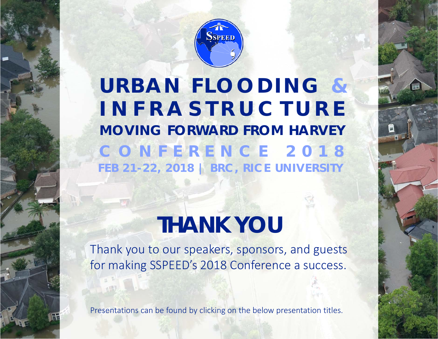

**URBAN FLOODING & CONFERENCE 2018 FEB 21-22, 2018 | BRC, RICE UNIVERSITY** *MOVING FORWARD FROM HARVEY* **INFRASTRUCTURE**

## **THANK YOU**

Thank you to our speakers, sponsors, and guests for making SSPEED's 2018 Conference a success.

Presentations can be found by clicking on the below presentation titles.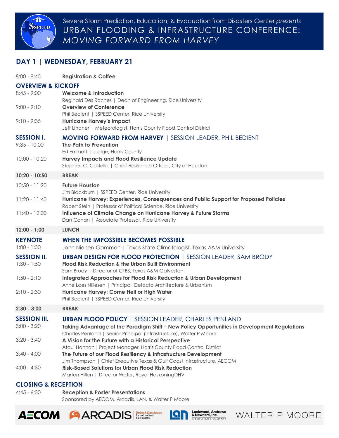

Severe Storm Prediction, Education, & Evacuation from Disasters Center *presents* URBAN FLOODING & INFRASTRUCTURE CONFERENCE: *MOVING FORWARD FROM HARVEY*

## **DAY 1 | WEDNESDAY, FEBRUARY 21**

| $8:00 - 8:45$                       | <b>Registration &amp; Coffee</b>                                                                                                       |  |  |  |
|-------------------------------------|----------------------------------------------------------------------------------------------------------------------------------------|--|--|--|
| <b>OVERVIEW &amp; KICKOFF</b>       |                                                                                                                                        |  |  |  |
| $8:45 - 9:00$                       | <b>Welcome &amp; Introduction</b>                                                                                                      |  |  |  |
| $9:00 - 9:10$                       | Reginald Des Roches   Dean of Engineering, Rice University<br><b>Overview of Conference</b>                                            |  |  |  |
|                                     | Phil Bedient   SSPEED Center, Rice University                                                                                          |  |  |  |
| $9:10 - 9:35$                       | <b>Hurricane Harvey's Impact</b>                                                                                                       |  |  |  |
|                                     | Jeff Lindner   Meteorologist, Harris County Flood Control District                                                                     |  |  |  |
| <b>SESSION I.</b>                   | <b>MOVING FORWARD FROM HARVEY   SESSION LEADER, PHIL BEDIENT</b>                                                                       |  |  |  |
| $9:35 - 10:00$                      | The Path to Prevention<br>Ed Emmett   Judge, Harris County                                                                             |  |  |  |
| $10:00 - 10:20$                     | <b>Harvey Impacts and Flood Resilience Update</b>                                                                                      |  |  |  |
|                                     | Stephen C. Costello   Chief Resilience Officer, City of Houston                                                                        |  |  |  |
| 10:20 - 10:50                       | <b>BREAK</b>                                                                                                                           |  |  |  |
| $10:50 - 11:20$                     | <b>Future Houston</b>                                                                                                                  |  |  |  |
| $11:20 - 11:40$                     | Jim Blackburn   SSPEED Center, Rice University<br>Hurricane Harvey: Experiences, Consequences and Public Support for Proposed Policies |  |  |  |
|                                     | Robert Stein   Professor of Political Science, Rice University                                                                         |  |  |  |
| 11:40 - 12:00                       | Influence of Climate Change on Hurricane Harvey & Future Storms                                                                        |  |  |  |
|                                     | Dan Cohan   Associate Professor, Rice University                                                                                       |  |  |  |
| 12:00 - 1:00                        | <b>LUNCH</b>                                                                                                                           |  |  |  |
| <b>KEYNOTE</b>                      | <b>WHEN THE IMPOSSIBLE BECOMES POSSIBLE</b>                                                                                            |  |  |  |
| $1:00 - 1:30$                       | John Nielsen-Gammon   Texas State Climatologist, Texas A&M University                                                                  |  |  |  |
| <b>SESSION II.</b><br>$1:30 - 1:50$ | <b>URBAN DESIGN FOR FLOOD PROTECTION   SESSION LEADER, SAM BRODY</b><br><b>Flood Risk Reduction &amp; the Urban Built Environment</b>  |  |  |  |
|                                     | Sam Brody   Director of CTBS, Texas A&M Galveston                                                                                      |  |  |  |
| $1:50 - 2:10$                       | <b>Integrated Approaches for Flood Risk Reduction &amp; Urban Development</b>                                                          |  |  |  |
|                                     | Anne Loes Nillesen   Principal, Defacto Architecture & Urbanism                                                                        |  |  |  |
| $2:10 - 2:30$                       | Hurricane Harvey: Come Hell or High Water<br>Phil Bedient   SSPEED Center, Rice University                                             |  |  |  |
| $2:30 - 3:00$                       | <b>BREAK</b>                                                                                                                           |  |  |  |
| <b>SESSION III.</b>                 | <b>URBAN FLOOD POLICY   SESSION LEADER, CHARLES PENLAND</b>                                                                            |  |  |  |
| $3:00 - 3:20$                       | Taking Advantage of the Paradigm Shift – New Policy Opportunities in Development Regulations                                           |  |  |  |
|                                     | Charles Penland   Senior Principal (Infrastructure), Walter P Moore                                                                    |  |  |  |
| $3:20 - 3:40$                       | A Vision for the Future with a Historical Perspective<br>Ataul Hannan   Project Manager, Harris County Flood Control District          |  |  |  |
| $3:40 - 4:00$                       | The Future of our Flood Resiliency & Infrastructure Development                                                                        |  |  |  |
|                                     | Jim Thompson   Chief Executive Texas & Gulf Coast Infrastructure, AECOM                                                                |  |  |  |
| $4:00 - 4:30$                       | <b>Risk-Based Solutions for Urban Flood Risk Reduction</b><br>Marten Hillen   Director Water, Royal HaskoningDHV                       |  |  |  |
|                                     |                                                                                                                                        |  |  |  |

## **CLOSING & RECEPTION**

4:45 - 6:30 **Reception & Poster Presentations** 

Sponsored by AECOM, Arcadis, LAN, & Walter P Moore







WALTER P MOORE